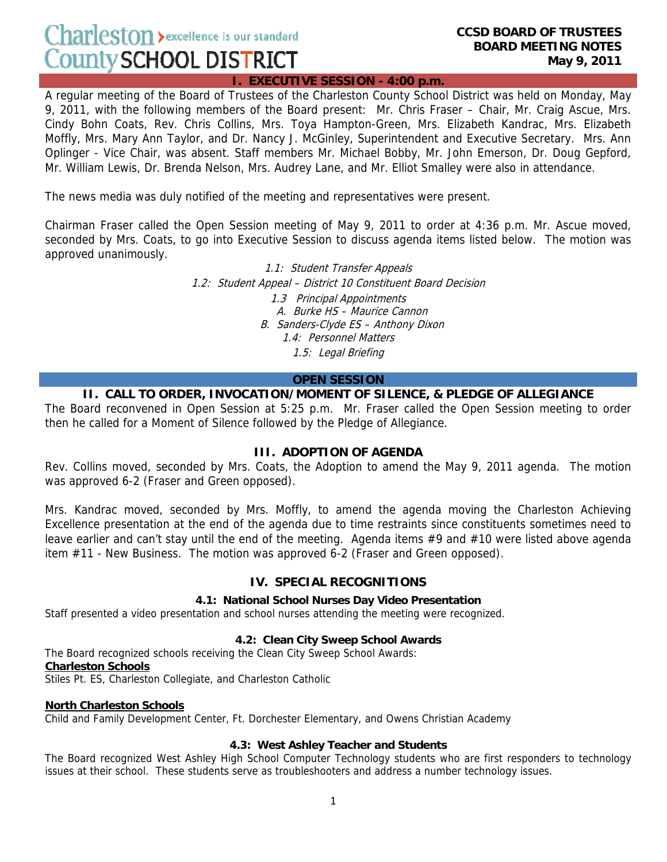$Charleston$  > excellence is our standard **County SCHOOL DISTRICT** 

#### **I. EXECUTIVE SESSION - 4:00 p.m.**

A regular meeting of the Board of Trustees of the Charleston County School District was held on Monday, May 9, 2011, with the following members of the Board present: Mr. Chris Fraser – Chair, Mr. Craig Ascue, Mrs. Cindy Bohn Coats, Rev. Chris Collins, Mrs. Toya Hampton-Green, Mrs. Elizabeth Kandrac, Mrs. Elizabeth Moffly, Mrs. Mary Ann Taylor, and Dr. Nancy J. McGinley, Superintendent and Executive Secretary. Mrs. Ann Oplinger - Vice Chair, was absent. Staff members Mr. Michael Bobby, Mr. John Emerson, Dr. Doug Gepford, Mr. William Lewis, Dr. Brenda Nelson, Mrs. Audrey Lane, and Mr. Elliot Smalley were also in attendance.

The news media was duly notified of the meeting and representatives were present.

Chairman Fraser called the Open Session meeting of May 9, 2011 to order at 4:36 p.m. Mr. Ascue moved, seconded by Mrs. Coats, to go into Executive Session to discuss agenda items listed below. The motion was approved unanimously.

> 1.1: Student Transfer Appeals 1.2: Student Appeal – District 10 Constituent Board Decision 1.3 Principal Appointments A. Burke HS – Maurice Cannon B. Sanders-Clyde ES – Anthony Dixon 1.4: Personnel Matters 1.5: Legal Briefing

#### **OPEN SESSION**

#### **II. CALL TO ORDER, INVOCATION/MOMENT OF SILENCE, & PLEDGE OF ALLEGIANCE**

The Board reconvened in Open Session at 5:25 p.m. Mr. Fraser called the Open Session meeting to order then he called for a Moment of Silence followed by the Pledge of Allegiance.

#### **III. ADOPTION OF AGENDA**

Rev. Collins moved, seconded by Mrs. Coats, the Adoption to amend the May 9, 2011 agenda. The motion was approved 6-2 (Fraser and Green opposed).

Mrs. Kandrac moved, seconded by Mrs. Moffly, to amend the agenda moving the Charleston Achieving Excellence presentation at the end of the agenda due to time restraints since constituents sometimes need to leave earlier and can't stay until the end of the meeting. Agenda items #9 and #10 were listed above agenda item #11 - New Business. The motion was approved 6-2 (Fraser and Green opposed).

#### **IV. SPECIAL RECOGNITIONS**

#### **4.1: National School Nurses Day Video Presentation**

Staff presented a video presentation and school nurses attending the meeting were recognized.

#### **4.2: Clean City Sweep School Awards**

The Board recognized schools receiving the Clean City Sweep School Awards: **Charleston Schools**  Stiles Pt. ES, Charleston Collegiate, and Charleston Catholic

#### **North Charleston Schools**

Child and Family Development Center, Ft. Dorchester Elementary, and Owens Christian Academy

#### **4.3: West Ashley Teacher and Students**

The Board recognized West Ashley High School Computer Technology students who are first responders to technology issues at their school. These students serve as troubleshooters and address a number technology issues.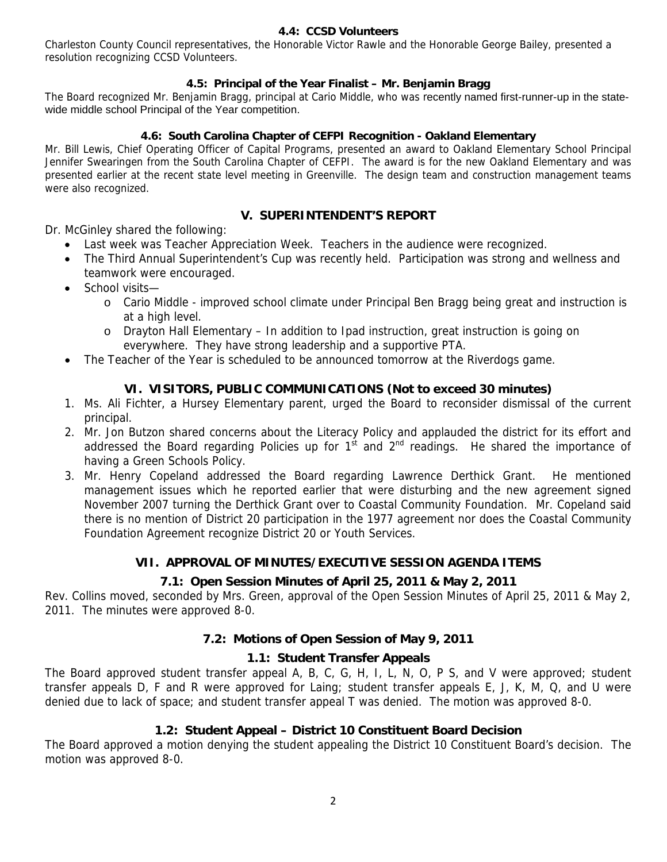#### **4.4: CCSD Volunteers**

Charleston County Council representatives, the Honorable Victor Rawle and the Honorable George Bailey, presented a resolution recognizing CCSD Volunteers.

### **4.5: Principal of the Year Finalist – Mr. Benjamin Bragg**

The Board recognized Mr. Benjamin Bragg, principal at Cario Middle, who was recently named first-runner-up in the statewide middle school Principal of the Year competition.

#### **4.6: South Carolina Chapter of CEFPI Recognition - Oakland Elementary**

Mr. Bill Lewis, Chief Operating Officer of Capital Programs, presented an award to Oakland Elementary School Principal Jennifer Swearingen from the South Carolina Chapter of CEFPI. The award is for the new Oakland Elementary and was presented earlier at the recent state level meeting in Greenville. The design team and construction management teams were also recognized.

### **V. SUPERINTENDENT'S REPORT**

Dr. McGinley shared the following:

- Last week was Teacher Appreciation Week. Teachers in the audience were recognized.
- The Third Annual Superintendent's Cup was recently held. Participation was strong and wellness and teamwork were encouraged.
- School visits
	- o Cario Middle improved school climate under Principal Ben Bragg being great and instruction is at a high level.
	- o Drayton Hall Elementary In addition to Ipad instruction, great instruction is going on everywhere. They have strong leadership and a supportive PTA.
- The Teacher of the Year is scheduled to be announced tomorrow at the Riverdogs game.

## **VI. VISITORS, PUBLIC COMMUNICATIONS (Not to exceed 30 minutes)**

- 1. Ms. Ali Fichter, a Hursey Elementary parent, urged the Board to reconsider dismissal of the current principal.
- 2. Mr. Jon Butzon shared concerns about the Literacy Policy and applauded the district for its effort and addressed the Board regarding Policies up for  $1^{st}$  and  $2^{nd}$  readings. He shared the importance of having a Green Schools Policy.
- 3. Mr. Henry Copeland addressed the Board regarding Lawrence Derthick Grant. He mentioned management issues which he reported earlier that were disturbing and the new agreement signed November 2007 turning the Derthick Grant over to Coastal Community Foundation. Mr. Copeland said there is no mention of District 20 participation in the 1977 agreement nor does the Coastal Community Foundation Agreement recognize District 20 or Youth Services.

## **VII. APPROVAL OF MINUTES/EXECUTIVE SESSION AGENDA ITEMS**

## **7.1: Open Session Minutes of April 25, 2011 & May 2, 2011**

Rev. Collins moved, seconded by Mrs. Green, approval of the Open Session Minutes of April 25, 2011 & May 2, 2011. The minutes were approved 8-0.

#### **7.2: Motions of Open Session of May 9, 2011**

#### **1.1: Student Transfer Appeals**

The Board approved student transfer appeal A, B, C, G, H, I, L, N, O, P S, and V were approved; student transfer appeals D, F and R were approved for Laing; student transfer appeals E, J, K, M, Q, and U were denied due to lack of space; and student transfer appeal T was denied. The motion was approved 8-0.

#### **1.2: Student Appeal – District 10 Constituent Board Decision**

The Board approved a motion denying the student appealing the District 10 Constituent Board's decision. The motion was approved 8-0.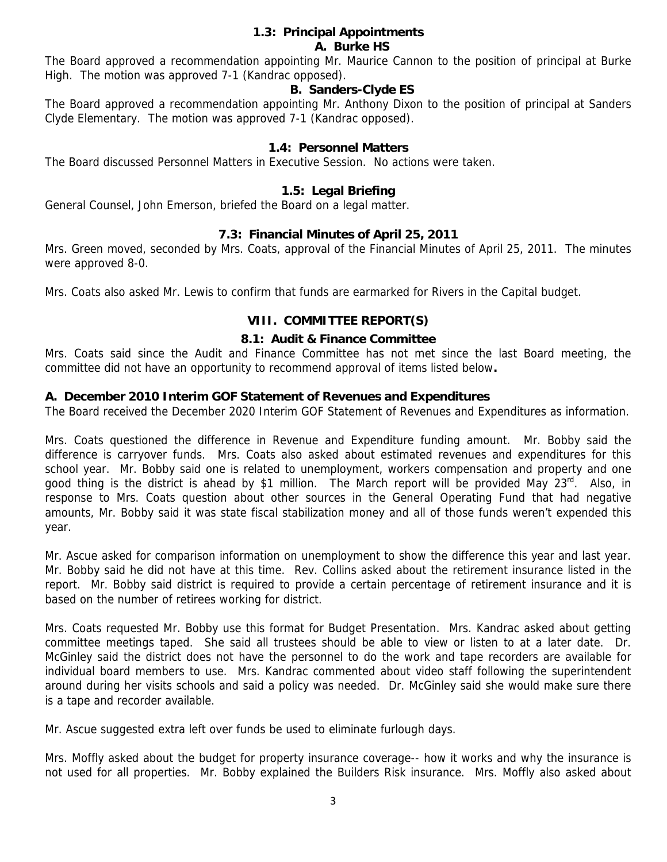#### **1.3: Principal Appointments A. Burke HS**

The Board approved a recommendation appointing Mr. Maurice Cannon to the position of principal at Burke High. The motion was approved 7-1 (Kandrac opposed).

## **B. Sanders-Clyde ES**

The Board approved a recommendation appointing Mr. Anthony Dixon to the position of principal at Sanders Clyde Elementary. The motion was approved 7-1 (Kandrac opposed).

## **1.4: Personnel Matters**

The Board discussed Personnel Matters in Executive Session. No actions were taken.

## **1.5: Legal Briefing**

General Counsel, John Emerson, briefed the Board on a legal matter.

## **7.3: Financial Minutes of April 25, 2011**

Mrs. Green moved, seconded by Mrs. Coats, approval of the Financial Minutes of April 25, 2011. The minutes were approved 8-0.

Mrs. Coats also asked Mr. Lewis to confirm that funds are earmarked for Rivers in the Capital budget.

#### **VIII. COMMITTEE REPORT(S)**

#### **8.1: Audit & Finance Committee**

Mrs. Coats said since the Audit and Finance Committee has not met since the last Board meeting, the committee did not have an opportunity to recommend approval of items listed below**.** 

#### **A. December 2010 Interim GOF Statement of Revenues and Expenditures**

The Board received the December 2020 Interim GOF Statement of Revenues and Expenditures as information.

Mrs. Coats questioned the difference in Revenue and Expenditure funding amount. Mr. Bobby said the difference is carryover funds. Mrs. Coats also asked about estimated revenues and expenditures for this school year. Mr. Bobby said one is related to unemployment, workers compensation and property and one good thing is the district is ahead by \$1 million. The March report will be provided May  $23^{\text{rd}}$ . Also, in response to Mrs. Coats question about other sources in the General Operating Fund that had negative amounts, Mr. Bobby said it was state fiscal stabilization money and all of those funds weren't expended this year.

Mr. Ascue asked for comparison information on unemployment to show the difference this year and last year. Mr. Bobby said he did not have at this time. Rev. Collins asked about the retirement insurance listed in the report. Mr. Bobby said district is required to provide a certain percentage of retirement insurance and it is based on the number of retirees working for district.

Mrs. Coats requested Mr. Bobby use this format for Budget Presentation. Mrs. Kandrac asked about getting committee meetings taped. She said all trustees should be able to view or listen to at a later date. Dr. McGinley said the district does not have the personnel to do the work and tape recorders are available for individual board members to use. Mrs. Kandrac commented about video staff following the superintendent around during her visits schools and said a policy was needed. Dr. McGinley said she would make sure there is a tape and recorder available.

Mr. Ascue suggested extra left over funds be used to eliminate furlough days.

Mrs. Moffly asked about the budget for property insurance coverage-- how it works and why the insurance is not used for all properties. Mr. Bobby explained the Builders Risk insurance. Mrs. Moffly also asked about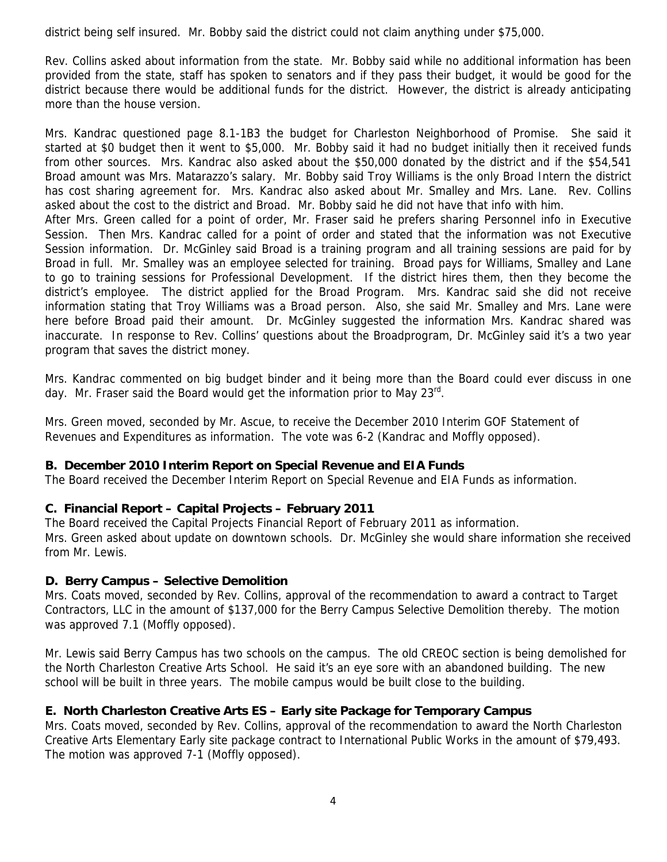district being self insured. Mr. Bobby said the district could not claim anything under \$75,000.

Rev. Collins asked about information from the state. Mr. Bobby said while no additional information has been provided from the state, staff has spoken to senators and if they pass their budget, it would be good for the district because there would be additional funds for the district. However, the district is already anticipating more than the house version.

Mrs. Kandrac questioned page 8.1-1B3 the budget for Charleston Neighborhood of Promise. She said it started at \$0 budget then it went to \$5,000. Mr. Bobby said it had no budget initially then it received funds from other sources. Mrs. Kandrac also asked about the \$50,000 donated by the district and if the \$54,541 Broad amount was Mrs. Matarazzo's salary. Mr. Bobby said Troy Williams is the only Broad Intern the district has cost sharing agreement for. Mrs. Kandrac also asked about Mr. Smalley and Mrs. Lane. Rev. Collins asked about the cost to the district and Broad. Mr. Bobby said he did not have that info with him. After Mrs. Green called for a point of order, Mr. Fraser said he prefers sharing Personnel info in Executive

Session. Then Mrs. Kandrac called for a point of order and stated that the information was not Executive Session information. Dr. McGinley said Broad is a training program and all training sessions are paid for by Broad in full. Mr. Smalley was an employee selected for training. Broad pays for Williams, Smalley and Lane to go to training sessions for Professional Development. If the district hires them, then they become the district's employee. The district applied for the Broad Program. Mrs. Kandrac said she did not receive information stating that Troy Williams was a Broad person. Also, she said Mr. Smalley and Mrs. Lane were here before Broad paid their amount. Dr. McGinley suggested the information Mrs. Kandrac shared was inaccurate. In response to Rev. Collins' questions about the Broadprogram, Dr. McGinley said it's a two year program that saves the district money.

Mrs. Kandrac commented on big budget binder and it being more than the Board could ever discuss in one day. Mr. Fraser said the Board would get the information prior to May 23<sup>rd</sup>.

Mrs. Green moved, seconded by Mr. Ascue, to receive the December 2010 Interim GOF Statement of Revenues and Expenditures as information. The vote was 6-2 (Kandrac and Moffly opposed).

## **B. December 2010 Interim Report on Special Revenue and EIA Funds**

The Board received the December Interim Report on Special Revenue and EIA Funds as information.

# **C. Financial Report – Capital Projects – February 2011**

The Board received the Capital Projects Financial Report of February 2011 as information. Mrs. Green asked about update on downtown schools. Dr. McGinley she would share information she received from Mr. Lewis.

# **D. Berry Campus – Selective Demolition**

Mrs. Coats moved, seconded by Rev. Collins, approval of the recommendation to award a contract to Target Contractors, LLC in the amount of \$137,000 for the Berry Campus Selective Demolition thereby. The motion was approved 7.1 (Moffly opposed).

Mr. Lewis said Berry Campus has two schools on the campus. The old CREOC section is being demolished for the North Charleston Creative Arts School. He said it's an eye sore with an abandoned building. The new school will be built in three years. The mobile campus would be built close to the building.

# **E. North Charleston Creative Arts ES – Early site Package for Temporary Campus**

Mrs. Coats moved, seconded by Rev. Collins, approval of the recommendation to award the North Charleston Creative Arts Elementary Early site package contract to International Public Works in the amount of \$79,493. The motion was approved 7-1 (Moffly opposed).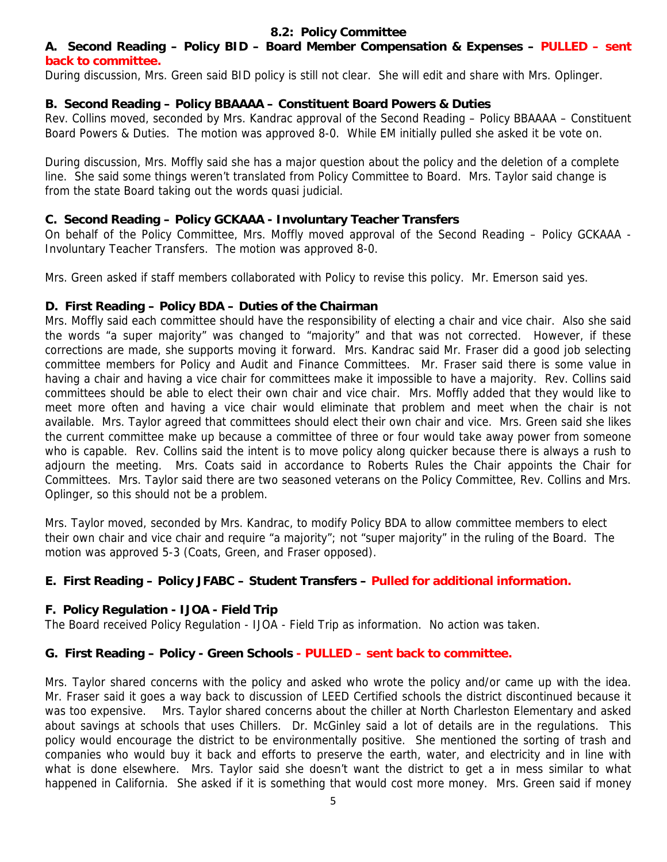## **8.2: Policy Committee**

## **A. Second Reading – Policy BID – Board Member Compensation & Expenses – PULLED – sent back to committee.**

During discussion, Mrs. Green said BID policy is still not clear. She will edit and share with Mrs. Oplinger.

# **B. Second Reading – Policy BBAAAA – Constituent Board Powers & Duties**

Rev. Collins moved, seconded by Mrs. Kandrac approval of the Second Reading – Policy BBAAAA – Constituent Board Powers & Duties. The motion was approved 8-0. While EM initially pulled she asked it be vote on.

During discussion, Mrs. Moffly said she has a major question about the policy and the deletion of a complete line. She said some things weren't translated from Policy Committee to Board. Mrs. Taylor said change is from the state Board taking out the words quasi judicial.

# **C. Second Reading – Policy GCKAAA - Involuntary Teacher Transfers**

On behalf of the Policy Committee, Mrs. Moffly moved approval of the Second Reading – Policy GCKAAA - Involuntary Teacher Transfers. The motion was approved 8-0.

Mrs. Green asked if staff members collaborated with Policy to revise this policy. Mr. Emerson said yes.

# **D. First Reading – Policy BDA – Duties of the Chairman**

Mrs. Moffly said each committee should have the responsibility of electing a chair and vice chair. Also she said the words "a super majority" was changed to "majority" and that was not corrected. However, if these corrections are made, she supports moving it forward. Mrs. Kandrac said Mr. Fraser did a good job selecting committee members for Policy and Audit and Finance Committees. Mr. Fraser said there is some value in having a chair and having a vice chair for committees make it impossible to have a majority. Rev. Collins said committees should be able to elect their own chair and vice chair. Mrs. Moffly added that they would like to meet more often and having a vice chair would eliminate that problem and meet when the chair is not available. Mrs. Taylor agreed that committees should elect their own chair and vice. Mrs. Green said she likes the current committee make up because a committee of three or four would take away power from someone who is capable. Rev. Collins said the intent is to move policy along quicker because there is always a rush to adjourn the meeting. Mrs. Coats said in accordance to Roberts Rules the Chair appoints the Chair for Committees. Mrs. Taylor said there are two seasoned veterans on the Policy Committee, Rev. Collins and Mrs. Oplinger, so this should not be a problem.

Mrs. Taylor moved, seconded by Mrs. Kandrac, to modify Policy BDA to allow committee members to elect their own chair and vice chair and require "a majority"; not "super majority" in the ruling of the Board. The motion was approved 5-3 (Coats, Green, and Fraser opposed).

# **E. First Reading – Policy JFABC – Student Transfers – Pulled for additional information.**

# **F. Policy Regulation - IJOA - Field Trip**

The Board received Policy Regulation - IJOA - Field Trip as information. No action was taken.

# **G. First Reading – Policy - Green Schools - PULLED – sent back to committee.**

Mrs. Taylor shared concerns with the policy and asked who wrote the policy and/or came up with the idea. Mr. Fraser said it goes a way back to discussion of LEED Certified schools the district discontinued because it was too expensive. Mrs. Taylor shared concerns about the chiller at North Charleston Elementary and asked about savings at schools that uses Chillers. Dr. McGinley said a lot of details are in the regulations. This policy would encourage the district to be environmentally positive. She mentioned the sorting of trash and companies who would buy it back and efforts to preserve the earth, water, and electricity and in line with what is done elsewhere. Mrs. Taylor said she doesn't want the district to get a in mess similar to what happened in California. She asked if it is something that would cost more money. Mrs. Green said if money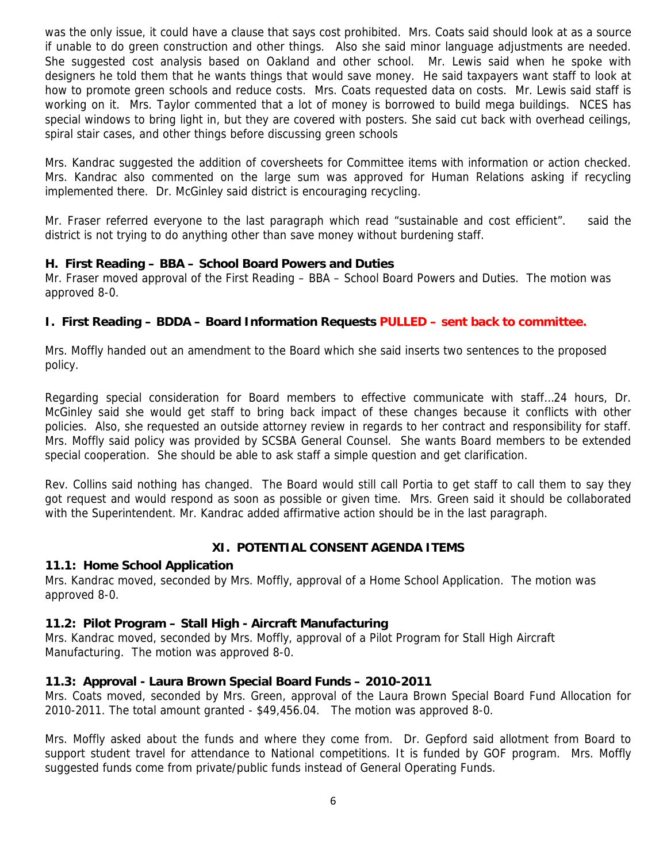was the only issue, it could have a clause that says cost prohibited. Mrs. Coats said should look at as a source if unable to do green construction and other things. Also she said minor language adjustments are needed. She suggested cost analysis based on Oakland and other school. Mr. Lewis said when he spoke with designers he told them that he wants things that would save money. He said taxpayers want staff to look at how to promote green schools and reduce costs. Mrs. Coats requested data on costs. Mr. Lewis said staff is working on it. Mrs. Taylor commented that a lot of money is borrowed to build mega buildings. NCES has special windows to bring light in, but they are covered with posters. She said cut back with overhead ceilings, spiral stair cases, and other things before discussing green schools

Mrs. Kandrac suggested the addition of coversheets for Committee items with information or action checked. Mrs. Kandrac also commented on the large sum was approved for Human Relations asking if recycling implemented there. Dr. McGinley said district is encouraging recycling.

Mr. Fraser referred everyone to the last paragraph which read "sustainable and cost efficient". said the district is not trying to do anything other than save money without burdening staff.

## **H. First Reading – BBA – School Board Powers and Duties**

Mr. Fraser moved approval of the First Reading – BBA – School Board Powers and Duties. The motion was approved 8-0.

## **I. First Reading – BDDA – Board Information Requests PULLED – sent back to committee.**

Mrs. Moffly handed out an amendment to the Board which she said inserts two sentences to the proposed policy.

Regarding special consideration for Board members to effective communicate with staff…24 hours, Dr. McGinley said she would get staff to bring back impact of these changes because it conflicts with other policies. Also, she requested an outside attorney review in regards to her contract and responsibility for staff. Mrs. Moffly said policy was provided by SCSBA General Counsel. She wants Board members to be extended special cooperation. She should be able to ask staff a simple question and get clarification.

Rev. Collins said nothing has changed. The Board would still call Portia to get staff to call them to say they got request and would respond as soon as possible or given time. Mrs. Green said it should be collaborated with the Superintendent. Mr. Kandrac added affirmative action should be in the last paragraph.

# **XI. POTENTIAL CONSENT AGENDA ITEMS**

## **11.1: Home School Application**

Mrs. Kandrac moved, seconded by Mrs. Moffly, approval of a Home School Application. The motion was approved 8-0.

## **11.2: Pilot Program – Stall High - Aircraft Manufacturing**

Mrs. Kandrac moved, seconded by Mrs. Moffly, approval of a Pilot Program for Stall High Aircraft Manufacturing. The motion was approved 8-0.

## **11.3: Approval - Laura Brown Special Board Funds – 2010-2011**

Mrs. Coats moved, seconded by Mrs. Green, approval of the Laura Brown Special Board Fund Allocation for 2010-2011. The total amount granted - \$49,456.04. The motion was approved 8-0.

Mrs. Moffly asked about the funds and where they come from. Dr. Gepford said allotment from Board to support student travel for attendance to National competitions. It is funded by GOF program. Mrs. Moffly suggested funds come from private/public funds instead of General Operating Funds.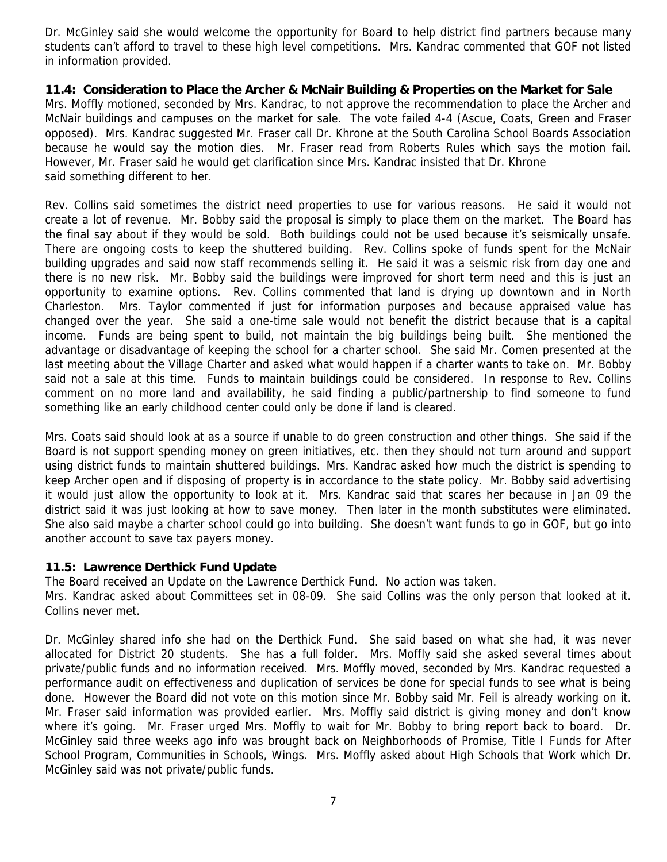Dr. McGinley said she would welcome the opportunity for Board to help district find partners because many students can't afford to travel to these high level competitions. Mrs. Kandrac commented that GOF not listed in information provided.

**11.4: Consideration to Place the Archer & McNair Building & Properties on the Market for Sale**  Mrs. Moffly motioned, seconded by Mrs. Kandrac, to not approve the recommendation to place the Archer and McNair buildings and campuses on the market for sale. The vote failed 4-4 (Ascue, Coats, Green and Fraser opposed). Mrs. Kandrac suggested Mr. Fraser call Dr. Khrone at the South Carolina School Boards Association because he would say the motion dies. Mr. Fraser read from Roberts Rules which says the motion fail. However, Mr. Fraser said he would get clarification since Mrs. Kandrac insisted that Dr. Khrone said something different to her.

Rev. Collins said sometimes the district need properties to use for various reasons. He said it would not create a lot of revenue. Mr. Bobby said the proposal is simply to place them on the market. The Board has the final say about if they would be sold. Both buildings could not be used because it's seismically unsafe. There are ongoing costs to keep the shuttered building. Rev. Collins spoke of funds spent for the McNair building upgrades and said now staff recommends selling it. He said it was a seismic risk from day one and there is no new risk. Mr. Bobby said the buildings were improved for short term need and this is just an opportunity to examine options. Rev. Collins commented that land is drying up downtown and in North Charleston. Mrs. Taylor commented if just for information purposes and because appraised value has changed over the year. She said a one-time sale would not benefit the district because that is a capital income. Funds are being spent to build, not maintain the big buildings being built. She mentioned the advantage or disadvantage of keeping the school for a charter school. She said Mr. Comen presented at the last meeting about the Village Charter and asked what would happen if a charter wants to take on. Mr. Bobby said not a sale at this time. Funds to maintain buildings could be considered. In response to Rev. Collins comment on no more land and availability, he said finding a public/partnership to find someone to fund something like an early childhood center could only be done if land is cleared.

Mrs. Coats said should look at as a source if unable to do green construction and other things. She said if the Board is not support spending money on green initiatives, etc. then they should not turn around and support using district funds to maintain shuttered buildings. Mrs. Kandrac asked how much the district is spending to keep Archer open and if disposing of property is in accordance to the state policy. Mr. Bobby said advertising it would just allow the opportunity to look at it. Mrs. Kandrac said that scares her because in Jan 09 the district said it was just looking at how to save money. Then later in the month substitutes were eliminated. She also said maybe a charter school could go into building. She doesn't want funds to go in GOF, but go into another account to save tax payers money.

## **11.5: Lawrence Derthick Fund Update**

The Board received an Update on the Lawrence Derthick Fund. No action was taken.

Mrs. Kandrac asked about Committees set in 08-09. She said Collins was the only person that looked at it. Collins never met.

Dr. McGinley shared info she had on the Derthick Fund. She said based on what she had, it was never allocated for District 20 students. She has a full folder. Mrs. Moffly said she asked several times about private/public funds and no information received. Mrs. Moffly moved, seconded by Mrs. Kandrac requested a performance audit on effectiveness and duplication of services be done for special funds to see what is being done. However the Board did not vote on this motion since Mr. Bobby said Mr. Feil is already working on it. Mr. Fraser said information was provided earlier. Mrs. Moffly said district is giving money and don't know where it's going. Mr. Fraser urged Mrs. Moffly to wait for Mr. Bobby to bring report back to board. Dr. McGinley said three weeks ago info was brought back on Neighborhoods of Promise, Title I Funds for After School Program, Communities in Schools, Wings. Mrs. Moffly asked about High Schools that Work which Dr. McGinley said was not private/public funds.